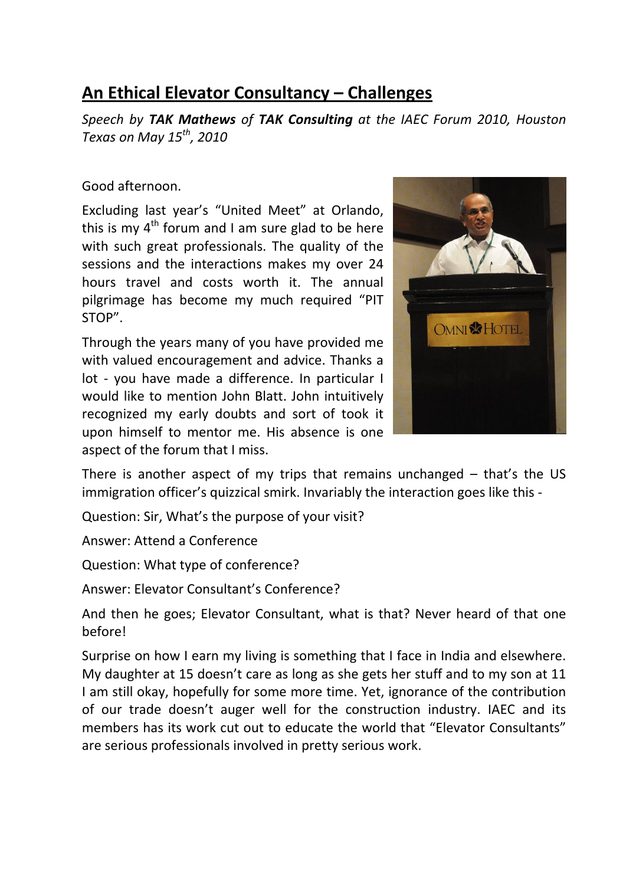## **An Ethical Elevator Consultancy – Challenges**

*Speech by TAK Mathews of TAK Consulting at the IAEC Forum 2010, Houston Texas on May 15th, 2010*

Good afternoon.

Excluding last year's "United Meet" at Orlando, this is my  $4<sup>th</sup>$  forum and I am sure glad to be here with such great professionals. The quality of the sessions and the interactions makes my over 24 hours travel and costs worth it. The annual pilgrimage has become my much required "PIT STOP".

Through the years many of you have provided me with valued encouragement and advice. Thanks a lot - you have made a difference. In particular I would like to mention John Blatt. John intuitively recognized my early doubts and sort of took it upon himself to mentor me. His absence is one aspect of the forum that I miss.



There is another aspect of my trips that remains unchanged – that's the US immigration officer's quizzical smirk. Invariably the interaction goes like this ‐

Question: Sir, What's the purpose of your visit?

Answer: Attend a Conference

Question: What type of conference?

Answer: Elevator Consultant's Conference?

And then he goes; Elevator Consultant, what is that? Never heard of that one before!

Surprise on how I earn my living is something that I face in India and elsewhere. My daughter at 15 doesn't care as long as she gets her stuff and to my son at 11 I am still okay, hopefully for some more time. Yet, ignorance of the contribution of our trade doesn't auger well for the construction industry. IAEC and its members has its work cut out to educate the world that "Elevator Consultants" are serious professionals involved in pretty serious work.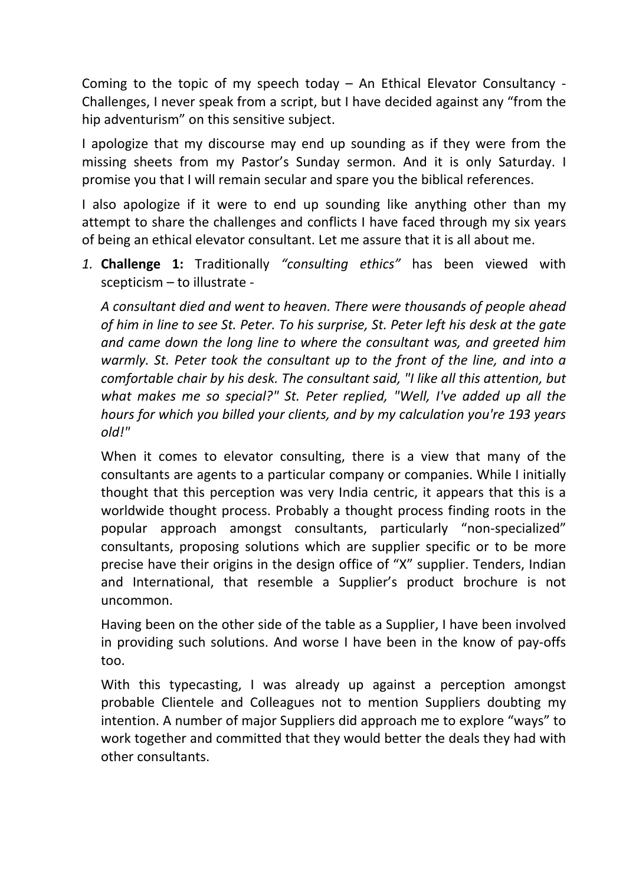Coming to the topic of my speech today – An Ethical Elevator Consultancy ‐ Challenges, I never speak from a script, but I have decided against any "from the hip adventurism" on this sensitive subject.

I apologize that my discourse may end up sounding as if they were from the missing sheets from my Pastor's Sunday sermon. And it is only Saturday. I promise you that I will remain secular and spare you the biblical references.

I also apologize if it were to end up sounding like anything other than my attempt to share the challenges and conflicts I have faced through my six years of being an ethical elevator consultant. Let me assure that it is all about me.

*1.* **Challenge 1:** Traditionally *"consulting ethics"* has been viewed with scepticism – to illustrate ‐

*A consultant died and went to heaven. There were thousands of people ahead of him in line to see St. Peter. To his surprise, St. Peter left his desk at the gate and came down the long line to where the consultant was, and greeted him warmly. St. Peter took the consultant up to the front of the line, and into a comfortable chair by his desk. The consultant said, "I like all this attention, but what makes me so special?" St. Peter replied, "Well, I've added up all the hours for which you billed your clients, and by my calculation you're 193 years old!"* 

When it comes to elevator consulting, there is a view that many of the consultants are agents to a particular company or companies. While I initially thought that this perception was very India centric, it appears that this is a worldwide thought process. Probably a thought process finding roots in the popular approach amongst consultants, particularly "non‐specialized" consultants, proposing solutions which are supplier specific or to be more precise have their origins in the design office of "X" supplier. Tenders, Indian and International, that resemble a Supplier's product brochure is not uncommon.

Having been on the other side of the table as a Supplier, I have been involved in providing such solutions. And worse I have been in the know of pay‐offs too.

With this typecasting, I was already up against a perception amongst probable Clientele and Colleagues not to mention Suppliers doubting my intention. A number of major Suppliers did approach me to explore "ways" to work together and committed that they would better the deals they had with other consultants.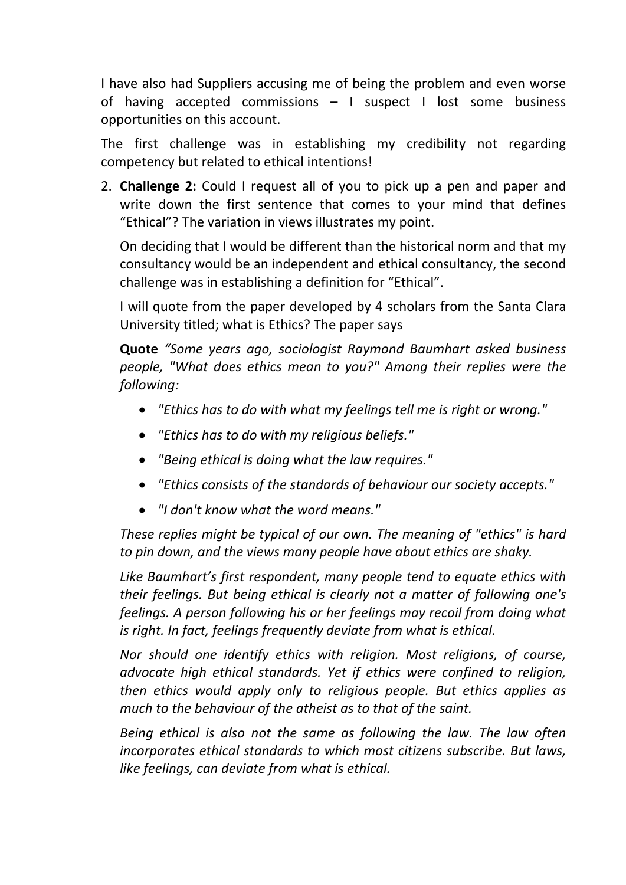I have also had Suppliers accusing me of being the problem and even worse of having accepted commissions – I suspect I lost some business opportunities on this account.

The first challenge was in establishing my credibility not regarding competency but related to ethical intentions!

2. **Challenge 2:** Could I request all of you to pick up a pen and paper and write down the first sentence that comes to your mind that defines "Ethical"? The variation in views illustrates my point.

On deciding that I would be different than the historical norm and that my consultancy would be an independent and ethical consultancy, the second challenge was in establishing a definition for "Ethical".

I will quote from the paper developed by 4 scholars from the Santa Clara University titled; what is Ethics? The paper says

**Quote** *"Some years ago, sociologist Raymond Baumhart asked business people, "What does ethics mean to you?" Among their replies were the following:* 

- *"Ethics has to do with what my feelings tell me is right or wrong."*
- *"Ethics has to do with my religious beliefs."*
- *"Being ethical is doing what the law requires."*
- *"Ethics consists of the standards of behaviour our society accepts."*
- *"I don't know what the word means."*

*These replies might be typical of our own. The meaning of "ethics" is hard to pin down, and the views many people have about ethics are shaky.* 

*Like Baumhart's first respondent, many people tend to equate ethics with their feelings. But being ethical is clearly not a matter of following one's feelings. A person following his or her feelings may recoil from doing what is right. In fact, feelings frequently deviate from what is ethical.* 

*Nor should one identify ethics with religion. Most religions, of course, advocate high ethical standards. Yet if ethics were confined to religion, then ethics would apply only to religious people. But ethics applies as much to the behaviour of the atheist as to that of the saint.* 

*Being ethical is also not the same as following the law. The law often incorporates ethical standards to which most citizens subscribe. But laws, like feelings, can deviate from what is ethical.*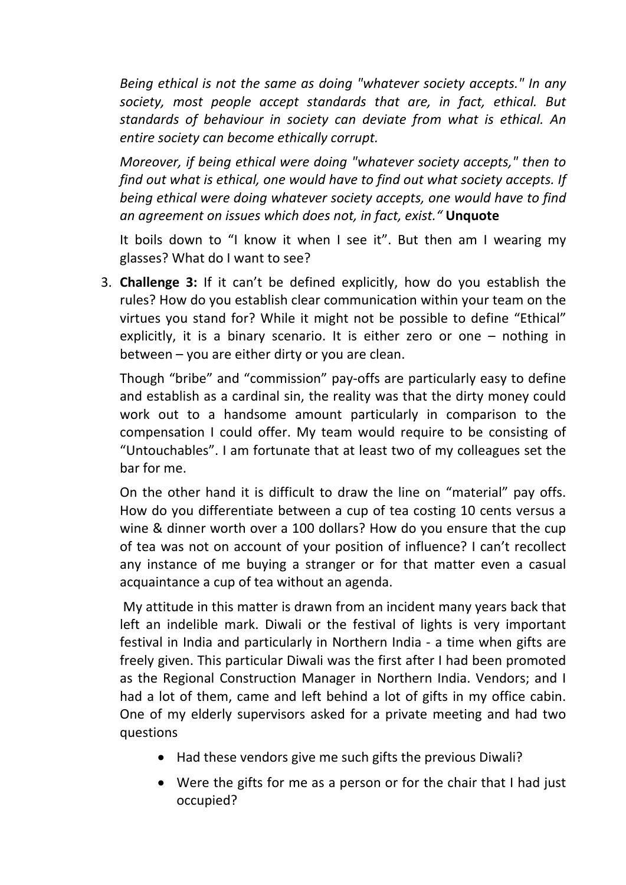*Being ethical is not the same as doing "whatever society accepts." In any society, most people accept standards that are, in fact, ethical. But standards of behaviour in society can deviate from what is ethical. An entire society can become ethically corrupt.* 

*Moreover, if being ethical were doing "whatever society accepts," then to find out what is ethical, one would have to find out what society accepts. If being ethical were doing whatever society accepts, one would have to find an agreement on issues which does not, in fact, exist."* **Unquote**

It boils down to "I know it when I see it". But then am I wearing my glasses? What do I want to see?

3. **Challenge 3:** If it can't be defined explicitly, how do you establish the rules? How do you establish clear communication within your team on the virtues you stand for? While it might not be possible to define "Ethical" explicitly, it is a binary scenario. It is either zero or one – nothing in between – you are either dirty or you are clean.

Though "bribe" and "commission" pay‐offs are particularly easy to define and establish as a cardinal sin, the reality was that the dirty money could work out to a handsome amount particularly in comparison to the compensation I could offer. My team would require to be consisting of "Untouchables". I am fortunate that at least two of my colleagues set the bar for me.

On the other hand it is difficult to draw the line on "material" pay offs. How do you differentiate between a cup of tea costing 10 cents versus a wine & dinner worth over a 100 dollars? How do you ensure that the cup of tea was not on account of your position of influence? I can't recollect any instance of me buying a stranger or for that matter even a casual acquaintance a cup of tea without an agenda.

My attitude in this matter is drawn from an incident many years back that left an indelible mark. Diwali or the festival of lights is very important festival in India and particularly in Northern India ‐ a time when gifts are freely given. This particular Diwali was the first after I had been promoted as the Regional Construction Manager in Northern India. Vendors; and I had a lot of them, came and left behind a lot of gifts in my office cabin. One of my elderly supervisors asked for a private meeting and had two questions

- Had these vendors give me such gifts the previous Diwali?
- Were the gifts for me as a person or for the chair that I had just occupied?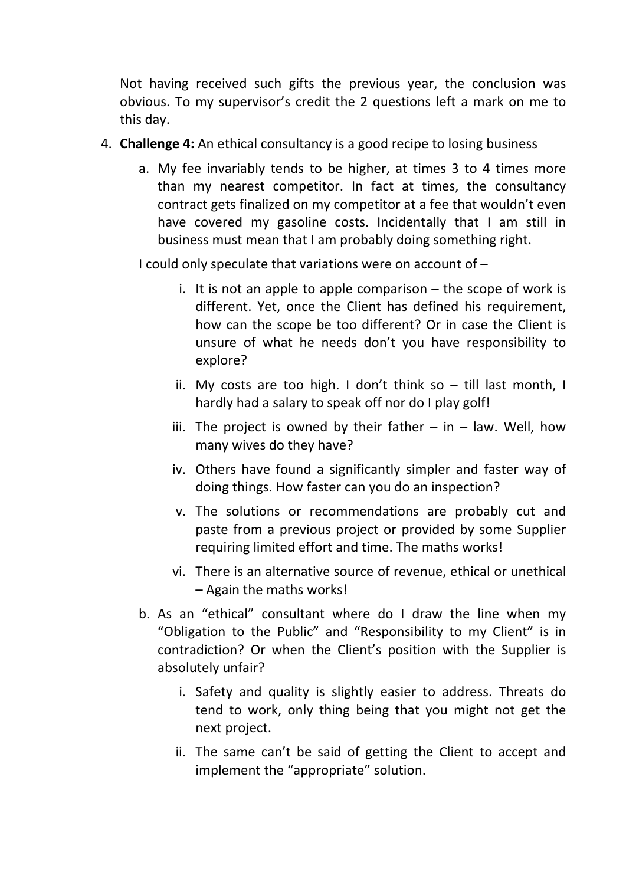Not having received such gifts the previous year, the conclusion was obvious. To my supervisor's credit the 2 questions left a mark on me to this day.

- 4. **Challenge 4:** An ethical consultancy is a good recipe to losing business
	- a. My fee invariably tends to be higher, at times 3 to 4 times more than my nearest competitor. In fact at times, the consultancy contract gets finalized on my competitor at a fee that wouldn't even have covered my gasoline costs. Incidentally that I am still in business must mean that I am probably doing something right.

I could only speculate that variations were on account of –

- i. It is not an apple to apple comparison  $-$  the scope of work is different. Yet, once the Client has defined his requirement, how can the scope be too different? Or in case the Client is unsure of what he needs don't you have responsibility to explore?
- ii. My costs are too high. I don't think so till last month, I hardly had a salary to speak off nor do I play golf!
- iii. The project is owned by their father  $-$  in  $-$  law. Well, how many wives do they have?
- iv. Others have found a significantly simpler and faster way of doing things. How faster can you do an inspection?
- v. The solutions or recommendations are probably cut and paste from a previous project or provided by some Supplier requiring limited effort and time. The maths works!
- vi. There is an alternative source of revenue, ethical or unethical – Again the maths works!
- b. As an "ethical" consultant where do I draw the line when my "Obligation to the Public" and "Responsibility to my Client" is in contradiction? Or when the Client's position with the Supplier is absolutely unfair?
	- i. Safety and quality is slightly easier to address. Threats do tend to work, only thing being that you might not get the next project.
	- ii. The same can't be said of getting the Client to accept and implement the "appropriate" solution.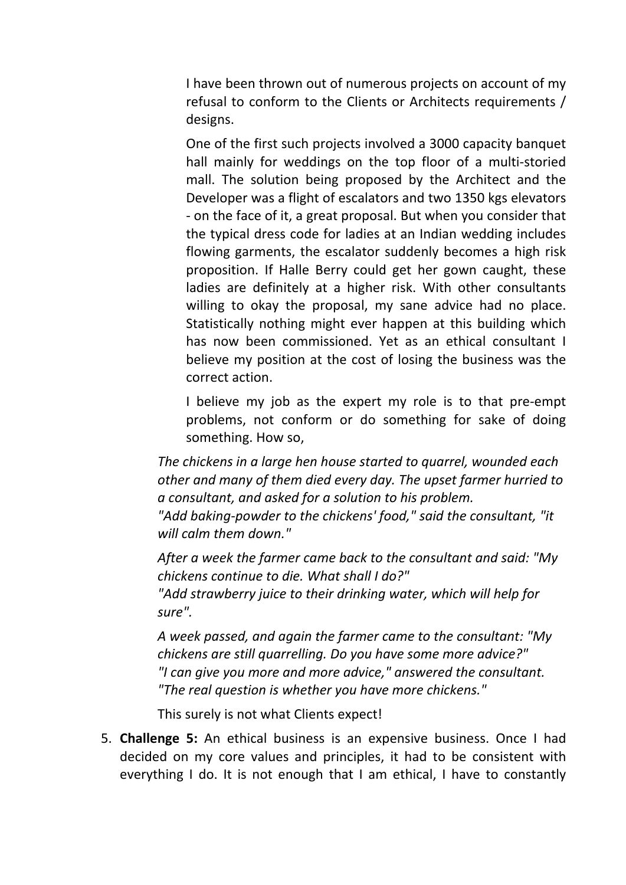I have been thrown out of numerous projects on account of my refusal to conform to the Clients or Architects requirements / designs.

One of the first such projects involved a 3000 capacity banquet hall mainly for weddings on the top floor of a multi-storied mall. The solution being proposed by the Architect and the Developer was a flight of escalators and two 1350 kgs elevators ‐ on the face of it, a great proposal. But when you consider that the typical dress code for ladies at an Indian wedding includes flowing garments, the escalator suddenly becomes a high risk proposition. If Halle Berry could get her gown caught, these ladies are definitely at a higher risk. With other consultants willing to okay the proposal, my sane advice had no place. Statistically nothing might ever happen at this building which has now been commissioned. Yet as an ethical consultant I believe my position at the cost of losing the business was the correct action.

I believe my job as the expert my role is to that pre-empt problems, not conform or do something for sake of doing something. How so,

*The chickens in a large hen house started to quarrel, wounded each other and many of them died every day. The upset farmer hurried to a consultant, and asked for a solution to his problem.*

*"Add baking‐powder to the chickens' food," said the consultant, "it will calm them down."*

*After a week the farmer came back to the consultant and said: "My chickens continue to die. What shall I do?"*

*"Add strawberry juice to their drinking water, which will help for sure".*

*A week passed, and again the farmer came to the consultant: "My chickens are still quarrelling. Do you have some more advice?" "I can give you more and more advice," answered the consultant. "The real question is whether you have more chickens."*

This surely is not what Clients expect!

5. **Challenge 5:** An ethical business is an expensive business. Once I had decided on my core values and principles, it had to be consistent with everything I do. It is not enough that I am ethical, I have to constantly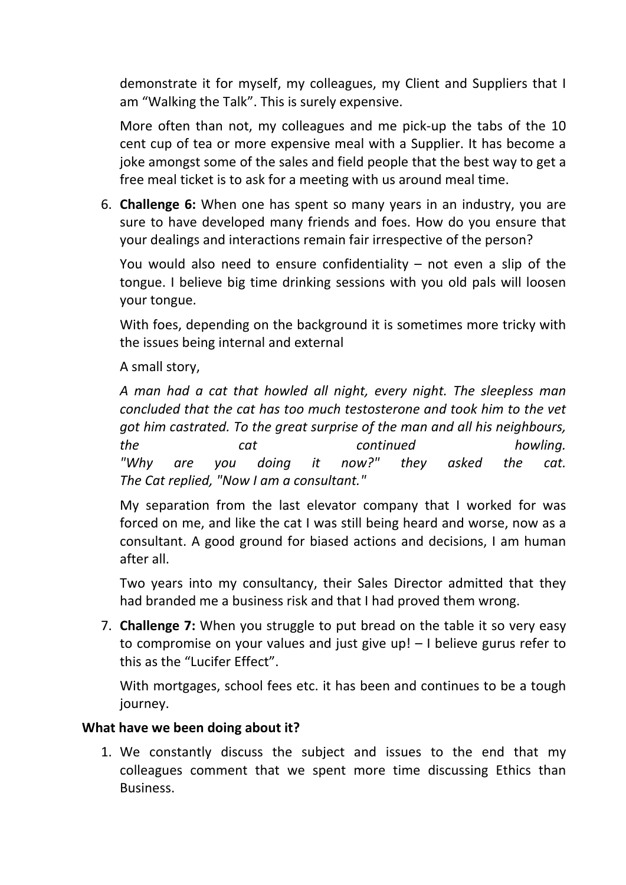demonstrate it for myself, my colleagues, my Client and Suppliers that I am "Walking the Talk". This is surely expensive.

More often than not, my colleagues and me pick‐up the tabs of the 10 cent cup of tea or more expensive meal with a Supplier. It has become a joke amongst some of the sales and field people that the best way to get a free meal ticket is to ask for a meeting with us around meal time.

6. **Challenge 6:** When one has spent so many years in an industry, you are sure to have developed many friends and foes. How do you ensure that your dealings and interactions remain fair irrespective of the person?

You would also need to ensure confidentiality  $-$  not even a slip of the tongue. I believe big time drinking sessions with you old pals will loosen your tongue.

With foes, depending on the background it is sometimes more tricky with the issues being internal and external

A small story,

*A man had a cat that howled all night, every night. The sleepless man concluded that the cat has too much testosterone and took him to the vet got him castrated. To the great surprise of the man and all his neighbours, the cat continued howling. "Why are you doing it now?" they asked the cat. The Cat replied, "Now I am a consultant."* 

My separation from the last elevator company that I worked for was forced on me, and like the cat I was still being heard and worse, now as a consultant. A good ground for biased actions and decisions, I am human after all.

Two years into my consultancy, their Sales Director admitted that they had branded me a business risk and that I had proved them wrong.

7. **Challenge 7:** When you struggle to put bread on the table it so very easy to compromise on your values and just give up! – I believe gurus refer to this as the "Lucifer Effect".

With mortgages, school fees etc. it has been and continues to be a tough journey.

## **What have we been doing about it?**

1. We constantly discuss the subject and issues to the end that my colleagues comment that we spent more time discussing Ethics than Business.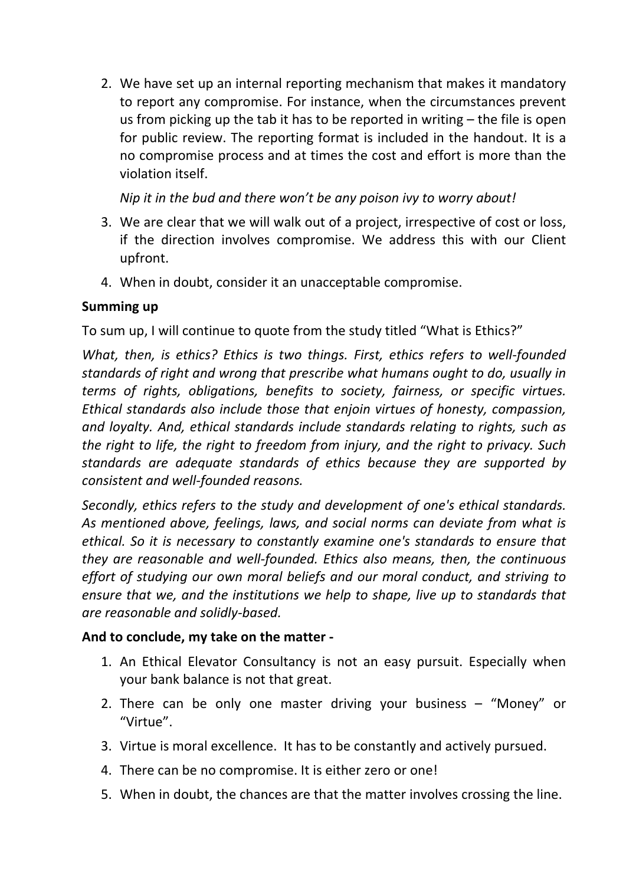2. We have set up an internal reporting mechanism that makes it mandatory to report any compromise. For instance, when the circumstances prevent us from picking up the tab it has to be reported in writing – the file is open for public review. The reporting format is included in the handout. It is a no compromise process and at times the cost and effort is more than the violation itself.

*Nip it in the bud and there won't be any poison ivy to worry about!*

- 3. We are clear that we will walk out of a project, irrespective of cost or loss, if the direction involves compromise. We address this with our Client upfront.
- 4. When in doubt, consider it an unacceptable compromise.

## **Summing up**

To sum up, I will continue to quote from the study titled "What is Ethics?"

*What, then, is ethics? Ethics is two things. First, ethics refers to well‐founded standards of right and wrong that prescribe what humans ought to do, usually in terms of rights, obligations, benefits to society, fairness, or specific virtues. Ethical standards also include those that enjoin virtues of honesty, compassion, and loyalty. And, ethical standards include standards relating to rights, such as the right to life, the right to freedom from injury, and the right to privacy. Such standards are adequate standards of ethics because they are supported by consistent and well‐founded reasons.* 

*Secondly, ethics refers to the study and development of one's ethical standards. As mentioned above, feelings, laws, and social norms can deviate from what is ethical. So it is necessary to constantly examine one's standards to ensure that they are reasonable and well‐founded. Ethics also means, then, the continuous effort of studying our own moral beliefs and our moral conduct, and striving to ensure that we, and the institutions we help to shape, live up to standards that are reasonable and solidly‐based.* 

## **And to conclude, my take on the matter ‐**

- 1. An Ethical Elevator Consultancy is not an easy pursuit. Especially when your bank balance is not that great.
- 2. There can be only one master driving your business "Money" or "Virtue".
- 3. Virtue is moral excellence. It has to be constantly and actively pursued.
- 4. There can be no compromise. It is either zero or one!
- 5. When in doubt, the chances are that the matter involves crossing the line.